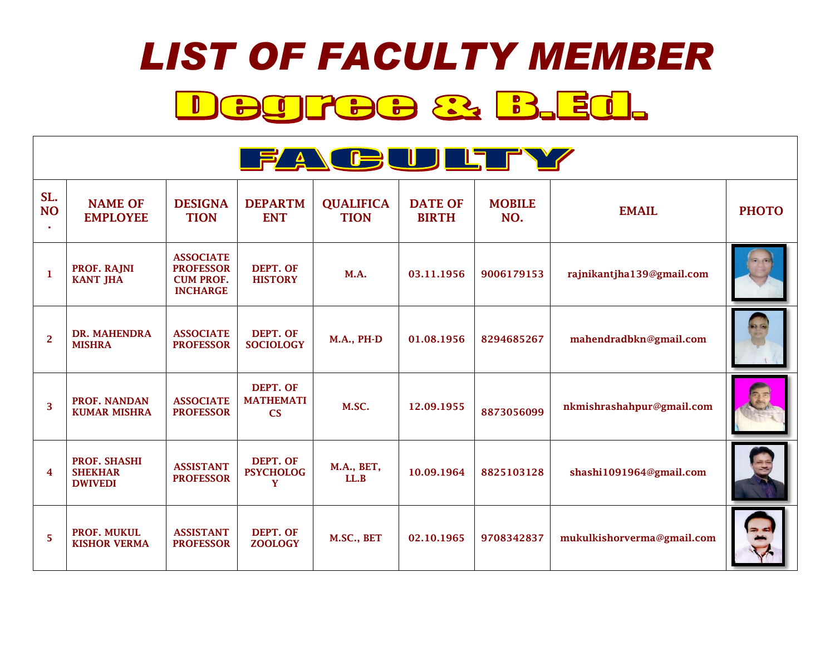## *LIST OF FACULTY MEMBER* Degree & B.Ed.

|                       | <b>FACULTY</b>                                          |                                                                             |                                           |                                 |                                |                      |                            |              |  |  |  |
|-----------------------|---------------------------------------------------------|-----------------------------------------------------------------------------|-------------------------------------------|---------------------------------|--------------------------------|----------------------|----------------------------|--------------|--|--|--|
| SL.<br><b>NO</b><br>× | <b>NAME OF</b><br><b>EMPLOYEE</b>                       | <b>DESIGNA</b><br><b>TION</b>                                               | <b>DEPARTM</b><br><b>ENT</b>              | <b>QUALIFICA</b><br><b>TION</b> | <b>DATE OF</b><br><b>BIRTH</b> | <b>MOBILE</b><br>NO. | <b>EMAIL</b>               | <b>PHOTO</b> |  |  |  |
| 1                     | PROF. RAJNI<br><b>KANT JHA</b>                          | <b>ASSOCIATE</b><br><b>PROFESSOR</b><br><b>CUM PROF.</b><br><b>INCHARGE</b> | DEPT. OF<br><b>HISTORY</b>                | <b>M.A.</b>                     | 03.11.1956                     | 9006179153           | rajnikantjha139@gmail.com  |              |  |  |  |
| $\overline{2}$        | DR. MAHENDRA<br><b>MISHRA</b>                           | <b>ASSOCIATE</b><br><b>PROFESSOR</b>                                        | DEPT. OF<br><b>SOCIOLOGY</b>              | <b>M.A., PH-D</b>               | 01.08.1956                     | 8294685267           | mahendradbkn@gmail.com     |              |  |  |  |
| 3                     | <b>PROF. NANDAN</b><br><b>KUMAR MISHRA</b>              | <b>ASSOCIATE</b><br><b>PROFESSOR</b>                                        | DEPT. OF<br><b>MATHEMATI</b><br><b>CS</b> | M.SC.                           | 12.09.1955                     | 8873056099           | nkmishrashahpur@gmail.com  |              |  |  |  |
| 4                     | <b>PROF. SHASHI</b><br><b>SHEKHAR</b><br><b>DWIVEDI</b> | <b>ASSISTANT</b><br><b>PROFESSOR</b>                                        | DEPT. OF<br><b>PSYCHOLOG</b><br>Y         | M.A., BET,<br>LL.B              | 10.09.1964                     | 8825103128           | shashi1091964@gmail.com    |              |  |  |  |
| 5                     | PROF. MUKUL<br><b>KISHOR VERMA</b>                      | <b>ASSISTANT</b><br><b>PROFESSOR</b>                                        | DEPT. OF<br><b>ZOOLOGY</b>                | M.SC., BET                      | 02.10.1965                     | 9708342837           | mukulkishorverma@gmail.com |              |  |  |  |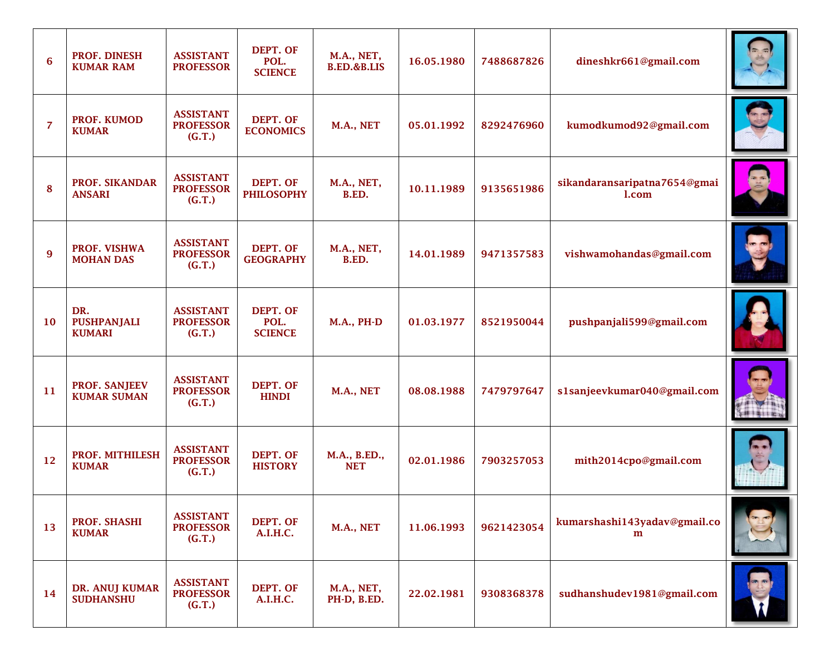| 6         | PROF. DINESH<br><b>KUMAR RAM</b>           | <b>ASSISTANT</b><br><b>PROFESSOR</b>           | DEPT. OF<br>POL.<br><b>SCIENCE</b> | M.A., NET,<br>B.ED.&B.LIS  | 16.05.1980 | 7488687826 | dineshkr661@gmail.com                 |  |
|-----------|--------------------------------------------|------------------------------------------------|------------------------------------|----------------------------|------------|------------|---------------------------------------|--|
| 7         | PROF. KUMOD<br><b>KUMAR</b>                | <b>ASSISTANT</b><br><b>PROFESSOR</b><br>(G.T.) | DEPT. OF<br><b>ECONOMICS</b>       | M.A., NET                  | 05.01.1992 | 8292476960 | kumodkumod92@gmail.com                |  |
| 8         | PROF. SIKANDAR<br><b>ANSARI</b>            | <b>ASSISTANT</b><br><b>PROFESSOR</b><br>(G.T.) | DEPT. OF<br><b>PHILOSOPHY</b>      | M.A., NET,<br>B.ED.        | 10.11.1989 | 9135651986 | sikandaransaripatna7654@gmai<br>l.com |  |
| 9         | PROF. VISHWA<br><b>MOHAN DAS</b>           | <b>ASSISTANT</b><br><b>PROFESSOR</b><br>(G.T.) | DEPT. OF<br><b>GEOGRAPHY</b>       | M.A., NET,<br>B.ED.        | 14.01.1989 | 9471357583 | vishwamohandas@gmail.com              |  |
| <b>10</b> | DR.<br><b>PUSHPANJALI</b><br><b>KUMARI</b> | <b>ASSISTANT</b><br><b>PROFESSOR</b><br>(G.T.) | DEPT. OF<br>POL.<br><b>SCIENCE</b> | <b>M.A., PH-D</b>          | 01.03.1977 | 8521950044 | pushpanjali599@gmail.com              |  |
| 11        | PROF. SANJEEV<br><b>KUMAR SUMAN</b>        | <b>ASSISTANT</b><br><b>PROFESSOR</b><br>(G.T.) | DEPT. OF<br><b>HINDI</b>           | M.A., NET                  | 08.08.1988 | 7479797647 | s1sanjeevkumar040@gmail.com           |  |
| 12        | PROF. MITHILESH<br><b>KUMAR</b>            | <b>ASSISTANT</b><br><b>PROFESSOR</b><br>(G.T.) | DEPT. OF<br><b>HISTORY</b>         | M.A., B.ED.,<br><b>NET</b> | 02.01.1986 | 7903257053 | mith2014cpo@gmail.com                 |  |
| 13        | PROF. SHASHI<br><b>KUMAR</b>               | <b>ASSISTANT</b><br><b>PROFESSOR</b><br>(G.T.) | DEPT. OF<br>A.I.H.C.               | M.A., NET                  | 11.06.1993 | 9621423054 | kumarshashi143yadav@gmail.co<br>m     |  |
| 14        | DR. ANUJ KUMAR<br><b>SUDHANSHU</b>         | <b>ASSISTANT</b><br><b>PROFESSOR</b><br>(G.T.) | DEPT. OF<br>A.I.H.C.               | M.A., NET,<br>PH-D, B.ED.  | 22.02.1981 | 9308368378 | sudhanshudev1981@gmail.com            |  |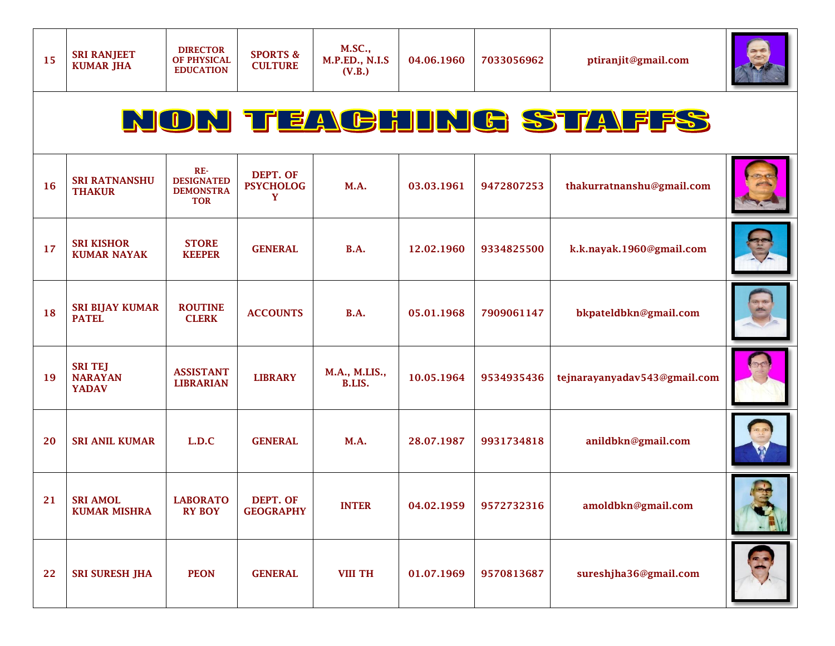**SPORTS & CULTURE**



## NON TEACHING STAFFS

| 16 | <b>SRI RATNANSHU</b><br><b>THAKUR</b>            | $RE-$<br><b>DESIGNATED</b><br><b>DEMONSTRA</b><br><b>TOR</b> | DEPT. OF<br><b>PSYCHOLOG</b><br>Y | M.A.                    | 03.03.1961 | 9472807253 | thakurratnanshu@gmail.com    |  |
|----|--------------------------------------------------|--------------------------------------------------------------|-----------------------------------|-------------------------|------------|------------|------------------------------|--|
| 17 | <b>SRI KISHOR</b><br><b>KUMAR NAYAK</b>          | <b>STORE</b><br><b>KEEPER</b>                                | <b>GENERAL</b>                    | <b>B.A.</b>             | 12.02.1960 | 9334825500 | k.k.nayak.1960@gmail.com     |  |
| 18 | <b>SRI BIJAY KUMAR</b><br><b>PATEL</b>           | <b>ROUTINE</b><br><b>CLERK</b>                               | <b>ACCOUNTS</b>                   | <b>B.A.</b>             | 05.01.1968 | 7909061147 | bkpateldbkn@gmail.com        |  |
| 19 | <b>SRI TEJ</b><br><b>NARAYAN</b><br><b>YADAV</b> | <b>ASSISTANT</b><br><b>LIBRARIAN</b>                         | <b>LIBRARY</b>                    | M.A., M.LIS.,<br>B.LIS. | 10.05.1964 | 9534935436 | tejnarayanyadav543@gmail.com |  |
| 20 | <b>SRI ANIL KUMAR</b>                            | L.D.C                                                        | <b>GENERAL</b>                    | M.A.                    | 28.07.1987 | 9931734818 | anildbkn@gmail.com           |  |
| 21 | <b>SRI AMOL</b><br><b>KUMAR MISHRA</b>           | <b>LABORATO</b><br><b>RY BOY</b>                             | DEPT. OF<br><b>GEOGRAPHY</b>      | <b>INTER</b>            | 04.02.1959 | 9572732316 | amoldbkn@gmail.com           |  |
| 22 | <b>SRI SURESH JHA</b>                            | <b>PEON</b>                                                  | <b>GENERAL</b>                    | <b>VIII TH</b>          | 01.07.1969 | 9570813687 | sureshjha36@gmail.com        |  |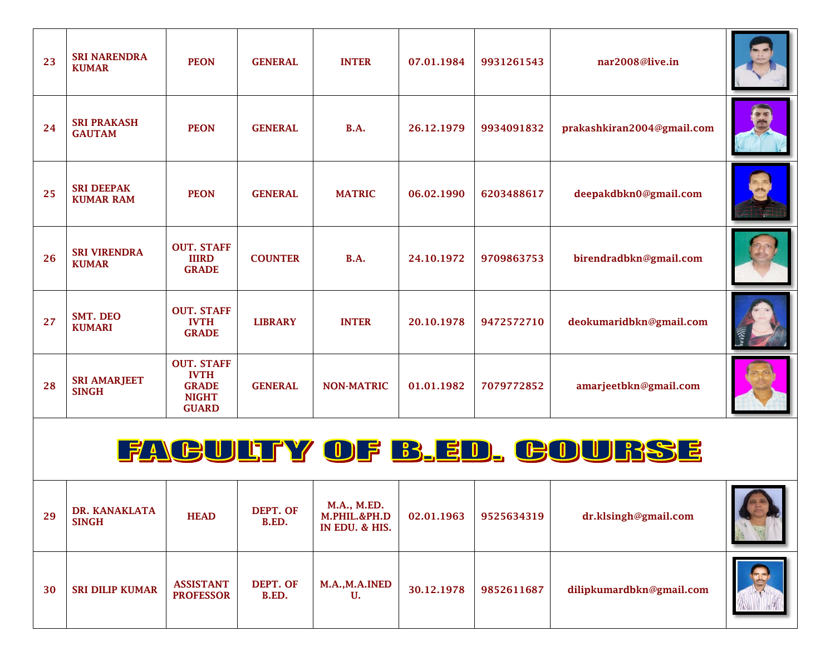| 23 | <b>SRI NARENDRA</b><br><b>KUMAR</b>   | <b>PEON</b>                                                                      | <b>GENERAL</b> | <b>INTER</b>      | 07.01.1984 | 9931261543 | nar2008@live.in            |  |
|----|---------------------------------------|----------------------------------------------------------------------------------|----------------|-------------------|------------|------------|----------------------------|--|
| 24 | <b>SRI PRAKASH</b><br><b>GAUTAM</b>   | <b>PEON</b>                                                                      | <b>GENERAL</b> | <b>B.A.</b>       | 26.12.1979 | 9934091832 | prakashkiran2004@gmail.com |  |
| 25 | <b>SRI DEEPAK</b><br><b>KUMAR RAM</b> | <b>PEON</b>                                                                      | <b>GENERAL</b> | <b>MATRIC</b>     | 06.02.1990 | 6203488617 | deepakdbkn0@gmail.com      |  |
| 26 | <b>SRI VIRENDRA</b><br><b>KUMAR</b>   | <b>OUT. STAFF</b><br><b>IIIRD</b><br><b>GRADE</b>                                | <b>COUNTER</b> | <b>B.A.</b>       | 24.10.1972 | 9709863753 | birendradbkn@gmail.com     |  |
| 27 | SMT. DEO<br><b>KUMARI</b>             | <b>OUT. STAFF</b><br><b>IVTH</b><br><b>GRADE</b>                                 | <b>LIBRARY</b> | <b>INTER</b>      | 20.10.1978 | 9472572710 | deokumaridbkn@gmail.com    |  |
| 28 | <b>SRI AMARJEET</b><br><b>SINGH</b>   | <b>OUT. STAFF</b><br><b>IVTH</b><br><b>GRADE</b><br><b>NIGHT</b><br><b>GUARD</b> | <b>GENERAL</b> | <b>NON-MATRIC</b> | 01.01.1982 | 7079772852 | amarjeetbkn@gmail.com      |  |

## FAGULTY OF B.ED. GOURSE

| 29 | DR. KANAKLATA<br><b>SINGH</b> | <b>HEAD</b>                          | DEPT. OF<br>B.ED. | M.A., M.ED.<br>M.PHIL.&PH.D<br>IN EDU. & HIS. | 02.01.1963 | 9525634319 | dr.klsingh@gmail.com     |  |
|----|-------------------------------|--------------------------------------|-------------------|-----------------------------------------------|------------|------------|--------------------------|--|
| 30 | <b>SRI DILIP KUMAR</b>        | <b>ASSISTANT</b><br><b>PROFESSOR</b> | DEPT. OF<br>B.ED. | M.A.,M.A.INED<br>U.                           | 30.12.1978 | 9852611687 | dilipkumardbkn@gmail.com |  |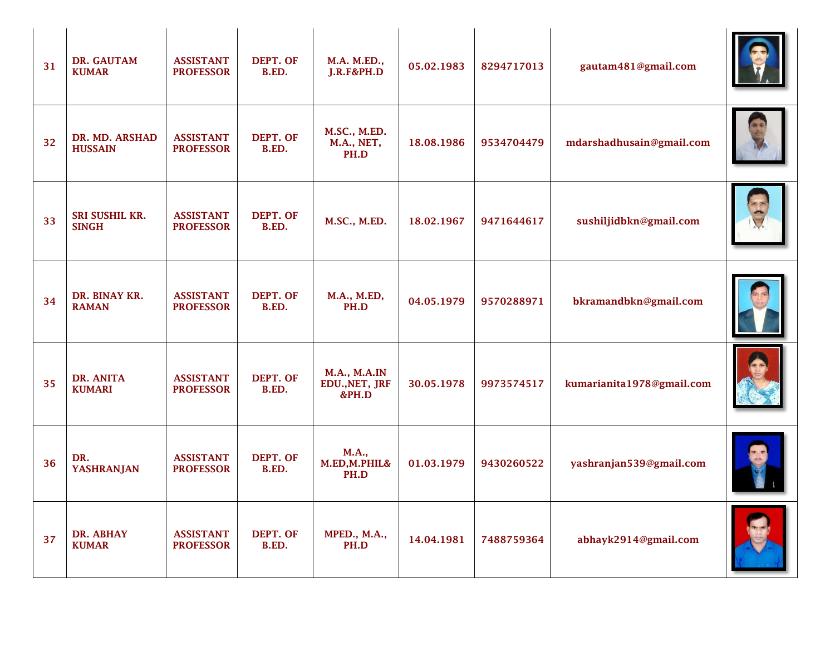| 31 | DR. GAUTAM<br><b>KUMAR</b>       | <b>ASSISTANT</b><br><b>PROFESSOR</b> | DEPT. OF<br>B.ED. | M.A. M.ED.,<br>J.R.F&PH.D                      | 05.02.1983 | 8294717013 | gautam481@gmail.com       |  |
|----|----------------------------------|--------------------------------------|-------------------|------------------------------------------------|------------|------------|---------------------------|--|
| 32 | DR. MD. ARSHAD<br><b>HUSSAIN</b> | <b>ASSISTANT</b><br><b>PROFESSOR</b> | DEPT. OF<br>B.ED. | M.SC., M.ED.<br>M.A., NET,<br>PH.D             | 18.08.1986 | 9534704479 | mdarshadhusain@gmail.com  |  |
| 33 | SRI SUSHIL KR.<br><b>SINGH</b>   | <b>ASSISTANT</b><br><b>PROFESSOR</b> | DEPT. OF<br>B.ED. | M.SC., M.ED.                                   | 18.02.1967 | 9471644617 | sushiljidbkn@gmail.com    |  |
| 34 | DR. BINAY KR.<br><b>RAMAN</b>    | <b>ASSISTANT</b><br><b>PROFESSOR</b> | DEPT. OF<br>B.ED. | M.A., M.ED,<br>PH.D                            | 04.05.1979 | 9570288971 | bkramandbkn@gmail.com     |  |
| 35 | DR. ANITA<br><b>KUMARI</b>       | <b>ASSISTANT</b><br><b>PROFESSOR</b> | DEPT. OF<br>B.ED. | <b>M.A., M.A.IN</b><br>EDU., NET, JRF<br>&PH.D | 30.05.1978 | 9973574517 | kumarianita1978@gmail.com |  |
| 36 | DR.<br><b>YASHRANJAN</b>         | <b>ASSISTANT</b><br><b>PROFESSOR</b> | DEPT. OF<br>B.ED. | <b>M.A.,</b><br>M.ED, M.PHIL&<br>PH.D          | 01.03.1979 | 9430260522 | yashranjan539@gmail.com   |  |
| 37 | DR. ABHAY<br><b>KUMAR</b>        | <b>ASSISTANT</b><br><b>PROFESSOR</b> | DEPT. OF<br>B.ED. | <b>MPED., M.A.,</b><br>PH.D                    | 14.04.1981 | 7488759364 | abhayk2914@gmail.com      |  |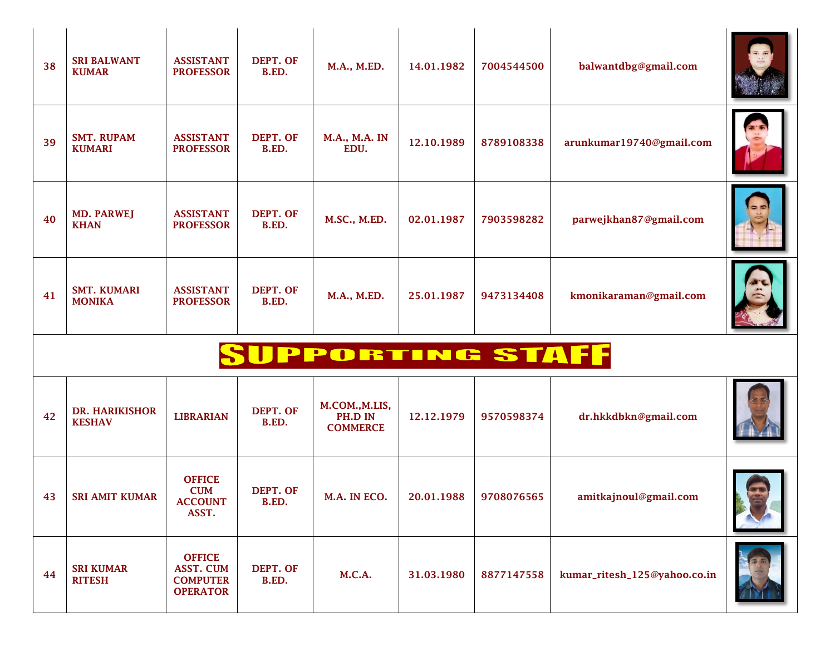| 38 | <b>SRI BALWANT</b><br><b>KUMAR</b>     | <b>ASSISTANT</b><br><b>PROFESSOR</b> | DEPT. OF<br>B.ED. | M.A., M.ED.                                  | 14.01.1982 | 7004544500 | balwantdbg@gmail.com     |  |
|----|----------------------------------------|--------------------------------------|-------------------|----------------------------------------------|------------|------------|--------------------------|--|
| 39 | <b>SMT. RUPAM</b><br><b>KUMARI</b>     | <b>ASSISTANT</b><br><b>PROFESSOR</b> | DEPT. OF<br>B.ED. | M.A., M.A. IN<br>EDU.                        | 12.10.1989 | 8789108338 | arunkumar19740@gmail.com |  |
| 40 | <b>MD. PARWEJ</b><br><b>KHAN</b>       | <b>ASSISTANT</b><br><b>PROFESSOR</b> | DEPT. OF<br>B.ED. | M.SC., M.ED.                                 | 02.01.1987 | 7903598282 | parwejkhan87@gmail.com   |  |
| 41 | <b>SMT. KUMARI</b><br><b>MONIKA</b>    | <b>ASSISTANT</b><br><b>PROFESSOR</b> | DEPT. OF<br>B.ED. | M.A., M.ED.                                  | 25.01.1987 | 9473134408 | kmonikaraman@gmail.com   |  |
|    |                                        |                                      |                   | SUPPORTING STAFF                             |            |            |                          |  |
| 42 | <b>DR. HARIKISHOR</b><br><b>KESHAV</b> | <b>LIBRARIAN</b>                     | DEPT. OF<br>B.ED. | M.COM., M.LIS,<br>PH.D IN<br><b>COMMERCE</b> | 12.12.1979 | 9570598374 | dr.hkkdbkn@gmail.com     |  |
|    |                                        | $\triangle$ EEICE                    |                   |                                              |            |            |                          |  |

| 43 | <b>SRI AMIT KUMAR</b>             | <b>OFFICE</b><br><b>CUM</b><br><b>ACCOUNT</b><br>ASST.           | DEPT. OF<br>B.ED. | M.A. IN ECO. | 20.01.1988 | 9708076565 | amitkajnoul@gmail.com        |  |
|----|-----------------------------------|------------------------------------------------------------------|-------------------|--------------|------------|------------|------------------------------|--|
| 44 | <b>SRI KUMAR</b><br><b>RITESH</b> | <b>OFFICE</b><br>ASST. CUM<br><b>COMPUTER</b><br><b>OPERATOR</b> | DEPT. OF<br>B.ED. | M.C.A.       | 31.03.1980 | 8877147558 | kumar_ritesh_125@yahoo.co.in |  |